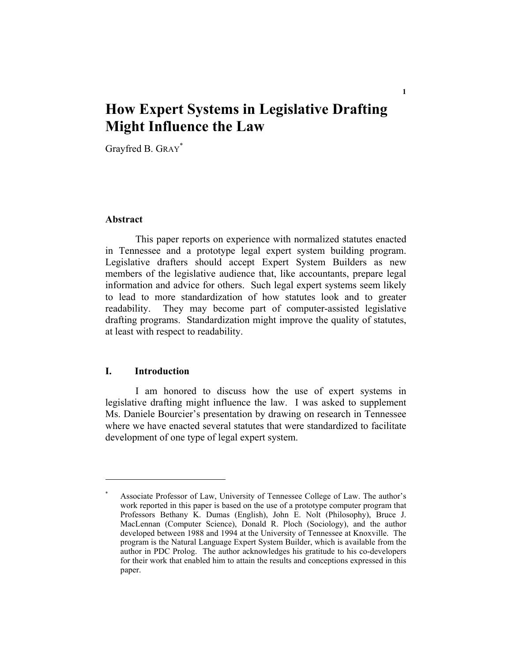# **How Expert Systems in Legislative Drafting Might Influence the Law**

Grayfred B. GRAY\*

#### **Abstract**

This paper reports on experience with normalized statutes enacted in Tennessee and a prototype legal expert system building program. Legislative drafters should accept Expert System Builders as new members of the legislative audience that, like accountants, prepare legal information and advice for others. Such legal expert systems seem likely to lead to more standardization of how statutes look and to greater readability. They may become part of computer-assisted legislative drafting programs. Standardization might improve the quality of statutes, at least with respect to readability.

#### **I. Introduction**

I am honored to discuss how the use of expert systems in legislative drafting might influence the law. I was asked to supplement Ms. Daniele Bourcier's presentation by drawing on research in Tennessee where we have enacted several statutes that were standardized to facilitate development of one type of legal expert system.

<sup>\*</sup> Associate Professor of Law, University of Tennessee College of Law. The author's work reported in this paper is based on the use of a prototype computer program that Professors Bethany K. Dumas (English), John E. Nolt (Philosophy), Bruce J. MacLennan (Computer Science), Donald R. Ploch (Sociology), and the author developed between 1988 and 1994 at the University of Tennessee at Knoxville. The program is the Natural Language Expert System Builder, which is available from the author in PDC Prolog. The author acknowledges his gratitude to his co-developers for their work that enabled him to attain the results and conceptions expressed in this paper.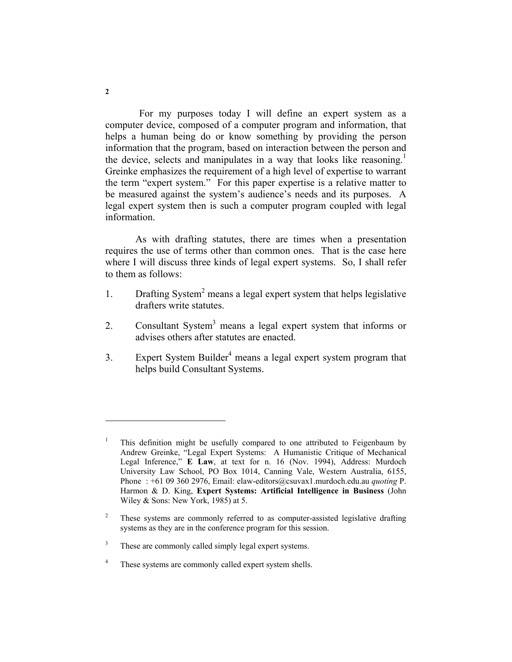For my purposes today I will define an expert system as a computer device, composed of a computer program and information, that helps a human being do or know something by providing the person information that the program, based on interaction between the person and the device, selects and manipulates in a way that looks like reasoning.<sup>1</sup> Greinke emphasizes the requirement of a high level of expertise to warrant the term "expert system." For this paper expertise is a relative matter to be measured against the system's audience's needs and its purposes. A legal expert system then is such a computer program coupled with legal information.

As with drafting statutes, there are times when a presentation requires the use of terms other than common ones. That is the case here where I will discuss three kinds of legal expert systems. So, I shall refer to them as follows:

- 1. Drafting System<sup>2</sup> means a legal expert system that helps legislative drafters write statutes.
- 2. Consultant System<sup>3</sup> means a legal expert system that informs or advises others after statutes are enacted.
- 3. Expert System Builder<sup>4</sup> means a legal expert system program that helps build Consultant Systems.

<sup>1</sup> This definition might be usefully compared to one attributed to Feigenbaum by Andrew Greinke, "Legal Expert Systems: A Humanistic Critique of Mechanical Legal Inference," **E Law**, at text for n. 16 (Nov. 1994), Address: Murdoch University Law School, PO Box 1014, Canning Vale, Western Australia, 6155, Phone : +61 09 360 2976, Email: elaw-editors@csuvax1.murdoch.edu.au *quoting* P. Harmon & D. King, **Expert Systems: Artificial Intelligence in Business** (John Wiley & Sons: New York, 1985) at 5.

<sup>2</sup> These systems are commonly referred to as computer-assisted legislative drafting systems as they are in the conference program for this session.

<sup>3</sup> These are commonly called simply legal expert systems.

<sup>4</sup> These systems are commonly called expert system shells.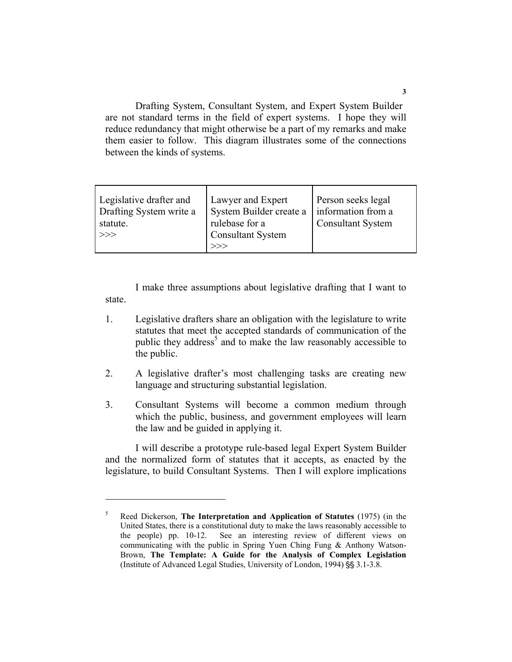Drafting System, Consultant System, and Expert System Builder are not standard terms in the field of expert systems. I hope they will reduce redundancy that might otherwise be a part of my remarks and make them easier to follow. This diagram illustrates some of the connections between the kinds of systems.

| Lawyer and Expert | Person seeks legal                           |
|-------------------|----------------------------------------------|
|                   | information from a                           |
| rulebase for a    | <b>Consultant System</b>                     |
|                   |                                              |
| >>                |                                              |
|                   | System Builder create a<br>Consultant System |

I make three assumptions about legislative drafting that I want to state.

- 1. Legislative drafters share an obligation with the legislature to write statutes that meet the accepted standards of communication of the public they address<sup>5</sup> and to make the law reasonably accessible to the public.
- 2. A legislative drafter's most challenging tasks are creating new language and structuring substantial legislation.
- 3. Consultant Systems will become a common medium through which the public, business, and government employees will learn the law and be guided in applying it.

I will describe a prototype rule-based legal Expert System Builder and the normalized form of statutes that it accepts, as enacted by the legislature, to build Consultant Systems. Then I will explore implications

<sup>5</sup> Reed Dickerson, **The Interpretation and Application of Statutes** (1975) (in the United States, there is a constitutional duty to make the laws reasonably accessible to the people) pp. 10-12. See an interesting review of different views on communicating with the public in Spring Yuen Ching Fung & Anthony Watson-Brown, **The Template: A Guide for the Analysis of Complex Legislation** (Institute of Advanced Legal Studies, University of London, 1994) §§ 3.1-3.8.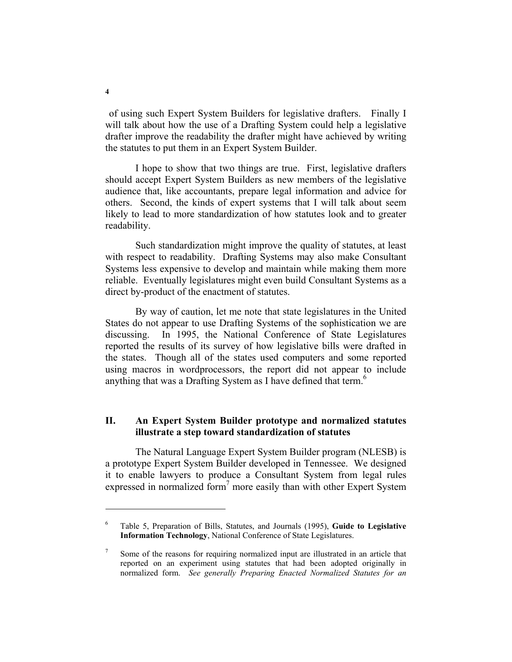of using such Expert System Builders for legislative drafters. Finally I will talk about how the use of a Drafting System could help a legislative drafter improve the readability the drafter might have achieved by writing the statutes to put them in an Expert System Builder.

I hope to show that two things are true. First, legislative drafters should accept Expert System Builders as new members of the legislative audience that, like accountants, prepare legal information and advice for others. Second, the kinds of expert systems that I will talk about seem likely to lead to more standardization of how statutes look and to greater readability.

Such standardization might improve the quality of statutes, at least with respect to readability. Drafting Systems may also make Consultant Systems less expensive to develop and maintain while making them more reliable. Eventually legislatures might even build Consultant Systems as a direct by-product of the enactment of statutes.

By way of caution, let me note that state legislatures in the United States do not appear to use Drafting Systems of the sophistication we are discussing. In 1995, the National Conference of State Legislatures reported the results of its survey of how legislative bills were drafted in the states. Though all of the states used computers and some reported using macros in wordprocessors, the report did not appear to include anything that was a Drafting System as I have defined that term.<sup>6</sup>

# **II. An Expert System Builder prototype and normalized statutes illustrate a step toward standardization of statutes**

The Natural Language Expert System Builder program (NLESB) is a prototype Expert System Builder developed in Tennessee. We designed it to enable lawyers to produce a Consultant System from legal rules expressed in normalized form<sup>7</sup> more easily than with other Expert System

<sup>6</sup> Table 5, Preparation of Bills, Statutes, and Journals (1995), **Guide to Legislative Information Technology**, National Conference of State Legislatures.

<sup>7</sup> Some of the reasons for requiring normalized input are illustrated in an article that reported on an experiment using statutes that had been adopted originally in normalized form. *See generally Preparing Enacted Normalized Statutes for an*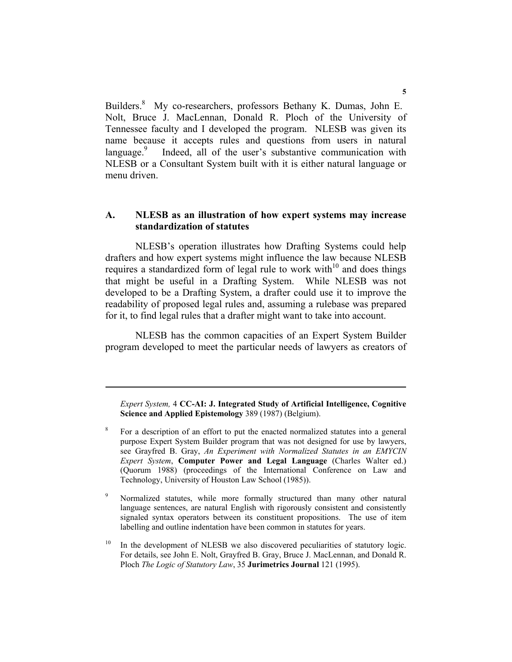Builders.<sup>8</sup> My co-researchers, professors Bethany K. Dumas, John E. Nolt, Bruce J. MacLennan, Donald R. Ploch of the University of Tennessee faculty and I developed the program. NLESB was given its name because it accepts rules and questions from users in natural language.<sup>9</sup> Indeed, all of the user's substantive communication with NLESB or a Consultant System built with it is either natural language or menu driven.

# **A. NLESB as an illustration of how expert systems may increase standardization of statutes**

NLESB's operation illustrates how Drafting Systems could help drafters and how expert systems might influence the law because NLESB requires a standardized form of legal rule to work with<sup>10</sup> and does things that might be useful in a Drafting System. While NLESB was not developed to be a Drafting System, a drafter could use it to improve the readability of proposed legal rules and, assuming a rulebase was prepared for it, to find legal rules that a drafter might want to take into account.

NLESB has the common capacities of an Expert System Builder program developed to meet the particular needs of lawyers as creators of

*Expert System,* 4 **CC-AI: J. Integrated Study of Artificial Intelligence, Cognitive Science and Applied Epistemology** 389 (1987) (Belgium).

8 For a description of an effort to put the enacted normalized statutes into a general purpose Expert System Builder program that was not designed for use by lawyers, see Grayfred B. Gray, *An Experiment with Normalized Statutes in an EMYCIN Expert System*, **Computer Power and Legal Language** (Charles Walter ed.) (Quorum 1988) (proceedings of the International Conference on Law and Technology, University of Houston Law School (1985)).

9 Normalized statutes, while more formally structured than many other natural language sentences, are natural English with rigorously consistent and consistently signaled syntax operators between its constituent propositions. The use of item labelling and outline indentation have been common in statutes for years.

In the development of NLESB we also discovered peculiarities of statutory logic. For details, see John E. Nolt, Grayfred B. Gray, Bruce J. MacLennan, and Donald R. Ploch *The Logic of Statutory Law*, 35 **Jurimetrics Journal** 121 (1995).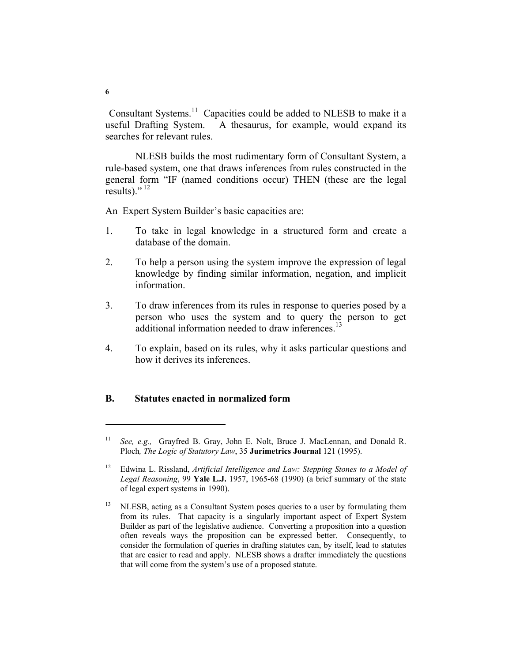Consultant Systems.11 Capacities could be added to NLESB to make it a useful Drafting System. A thesaurus, for example, would expand its searches for relevant rules.

NLESB builds the most rudimentary form of Consultant System, a rule-based system, one that draws inferences from rules constructed in the general form "IF (named conditions occur) THEN (these are the legal results)."<sup>12</sup>

An Expert System Builder's basic capacities are:

- 1. To take in legal knowledge in a structured form and create a database of the domain.
- 2. To help a person using the system improve the expression of legal knowledge by finding similar information, negation, and implicit information.
- 3. To draw inferences from its rules in response to queries posed by a person who uses the system and to query the person to get additional information needed to draw inferences.<sup>13</sup>
- 4. To explain, based on its rules, why it asks particular questions and how it derives its inferences.

#### **B. Statutes enacted in normalized form**

See, e.g., Grayfred B. Gray, John E. Nolt, Bruce J. MacLennan, and Donald R. Ploch*, The Logic of Statutory Law*, 35 **Jurimetrics Journal** 121 (1995).

<sup>&</sup>lt;sup>12</sup> Edwina L. Rissland, *Artificial Intelligence and Law: Stepping Stones to a Model of Legal Reasoning*, 99 **Yale L.J.** 1957, 1965-68 (1990) (a brief summary of the state of legal expert systems in 1990).

<sup>&</sup>lt;sup>13</sup> NLESB, acting as a Consultant System poses queries to a user by formulating them from its rules. That capacity is a singularly important aspect of Expert System Builder as part of the legislative audience. Converting a proposition into a question often reveals ways the proposition can be expressed better. Consequently, to consider the formulation of queries in drafting statutes can, by itself, lead to statutes that are easier to read and apply. NLESB shows a drafter immediately the questions that will come from the system's use of a proposed statute.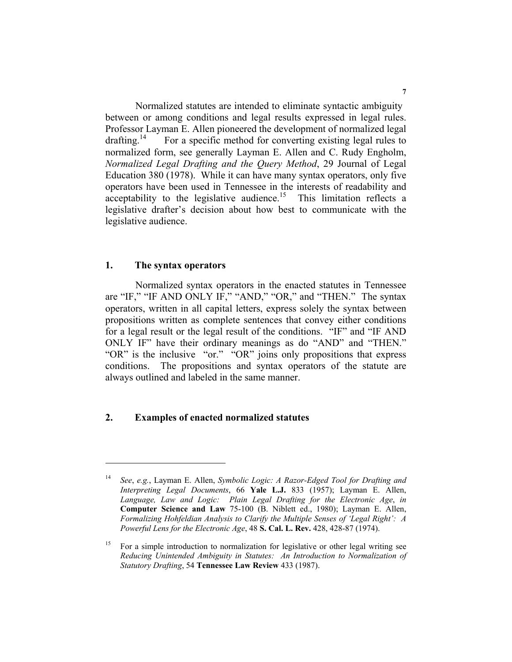Normalized statutes are intended to eliminate syntactic ambiguity between or among conditions and legal results expressed in legal rules. Professor Layman E. Allen pioneered the development of normalized legal drafting.<sup>14</sup> For a specific method for converting existing legal rules to normalized form, see generally Layman E. Allen and C. Rudy Engholm, *Normalized Legal Drafting and the Query Method*, 29 Journal of Legal Education 380 (1978). While it can have many syntax operators, only five operators have been used in Tennessee in the interests of readability and acceptability to the legislative audience.<sup>15</sup> This limitation reflects a legislative drafter's decision about how best to communicate with the legislative audience.

#### **1. The syntax operators**

Normalized syntax operators in the enacted statutes in Tennessee are "IF," "IF AND ONLY IF," "AND," "OR," and "THEN." The syntax operators, written in all capital letters, express solely the syntax between propositions written as complete sentences that convey either conditions for a legal result or the legal result of the conditions. "IF" and "IF AND ONLY IF" have their ordinary meanings as do "AND" and "THEN." "OR" is the inclusive "or." "OR" joins only propositions that express conditions. The propositions and syntax operators of the statute are always outlined and labeled in the same manner.

#### **2. Examples of enacted normalized statutes**

<sup>14</sup> *See*, *e.g.*, Layman E. Allen, *Symbolic Logic: A Razor-Edged Tool for Drafting and Interpreting Legal Documents*, 66 **Yale L.J.** 833 (1957); Layman E. Allen, *Language, Law and Logic: Plain Legal Drafting for the Electronic Age*, *in* **Computer Science and Law** 75-100 (B. Niblett ed., 1980); Layman E. Allen, *Formalizing Hohfeldian Analysis to Clarify the Multiple Senses of 'Legal Right': A Powerful Lens for the Electronic Age*, 48 **S. Cal. L. Rev.** 428, 428-87 (1974).

<sup>&</sup>lt;sup>15</sup> For a simple introduction to normalization for legislative or other legal writing see *Reducing Unintended Ambiguity in Statutes: An Introduction to Normalization of Statutory Drafting*, 54 **Tennessee Law Review** 433 (1987).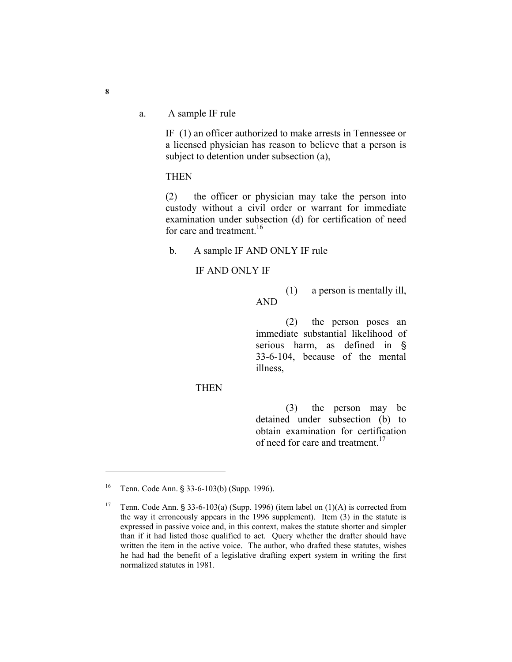a. A sample IF rule

IF (1) an officer authorized to make arrests in Tennessee or a licensed physician has reason to believe that a person is subject to detention under subsection (a),

**THEN** 

(2) the officer or physician may take the person into custody without a civil order or warrant for immediate examination under subsection (d) for certification of need for care and treatment  $16$ 

b. A sample IF AND ONLY IF rule

#### IF AND ONLY IF

(1) a person is mentally ill, AND

(2) the person poses an immediate substantial likelihood of serious harm, as defined in  $\S$ 33-6-104, because of the mental illness,

#### THEN

(3) the person may be detained under subsection (b) to obtain examination for certification of need for care and treatment.<sup>17</sup>

<sup>&</sup>lt;sup>16</sup> Tenn. Code Ann. § 33-6-103(b) (Supp. 1996).

<sup>&</sup>lt;sup>17</sup> Tenn. Code Ann. § 33-6-103(a) (Supp. 1996) (item label on  $(1)(A)$  is corrected from the way it erroneously appears in the 1996 supplement). Item (3) in the statute is expressed in passive voice and, in this context, makes the statute shorter and simpler than if it had listed those qualified to act. Query whether the drafter should have written the item in the active voice. The author, who drafted these statutes, wishes he had had the benefit of a legislative drafting expert system in writing the first normalized statutes in 1981.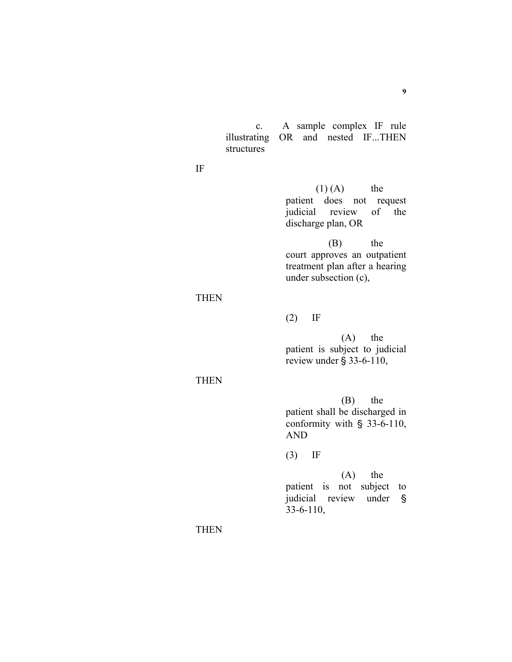c. A sample complex IF rule illustrating OR and nested IF...THEN structures

IF

 $(1) (A)$  the patient does not request judicial review of the discharge plan, OR

 (B) the court approves an outpatient treatment plan after a hearing under subsection (c),

# **THEN**

(2) IF

 (A) the patient is subject to judicial review under  $\S$  33-6-110,

#### THEN

 (B) the patient shall be discharged in conformity with  $\S$  33-6-110, AND

(3) IF

 (A) the patient is not subject to judicial review under § 33-6-110,

**THEN**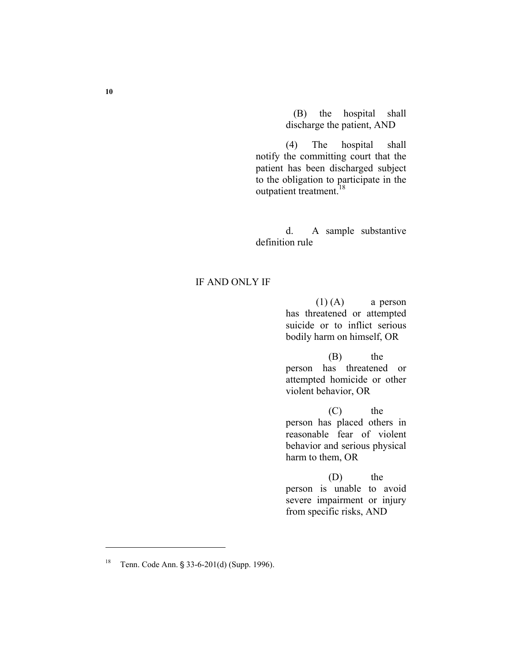(B) the hospital shall discharge the patient, AND

(4) The hospital shall notify the committing court that the patient has been discharged subject to the obligation to participate in the outpatient treatment.<sup>18</sup>

d. A sample substantive definition rule

# IF AND ONLY IF

 $(1)$  (A) a person has threatened or attempted suicide or to inflict serious bodily harm on himself, OR

 (B) the person has threatened or attempted homicide or other violent behavior, OR

 (C) the person has placed others in reasonable fear of violent behavior and serious physical harm to them, OR

 (D) the person is unable to avoid severe impairment or injury from specific risks, AND

**<sup>10</sup>** 

<sup>&</sup>lt;sup>18</sup> Tenn. Code Ann. § 33-6-201(d) (Supp. 1996).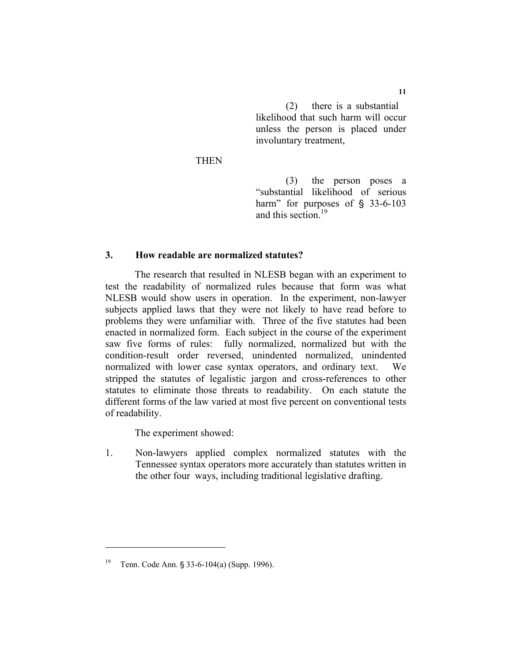(2) there is a substantial likelihood that such harm will occur unless the person is placed under involuntary treatment,

THEN

(3) the person poses a "substantial likelihood of serious harm" for purposes of  $\S$  33-6-103 and this section<sup>19</sup>

# **3. How readable are normalized statutes?**

 The research that resulted in NLESB began with an experiment to test the readability of normalized rules because that form was what NLESB would show users in operation. In the experiment, non-lawyer subjects applied laws that they were not likely to have read before to problems they were unfamiliar with. Three of the five statutes had been enacted in normalized form. Each subject in the course of the experiment saw five forms of rules: fully normalized, normalized but with the condition-result order reversed, unindented normalized, unindented normalized with lower case syntax operators, and ordinary text. We stripped the statutes of legalistic jargon and cross-references to other statutes to eliminate those threats to readability. On each statute the different forms of the law varied at most five percent on conventional tests of readability.

The experiment showed:

1. Non-lawyers applied complex normalized statutes with the Tennessee syntax operators more accurately than statutes written in the other four ways, including traditional legislative drafting.

<sup>&</sup>lt;sup>19</sup> Tenn. Code Ann. § 33-6-104(a) (Supp. 1996).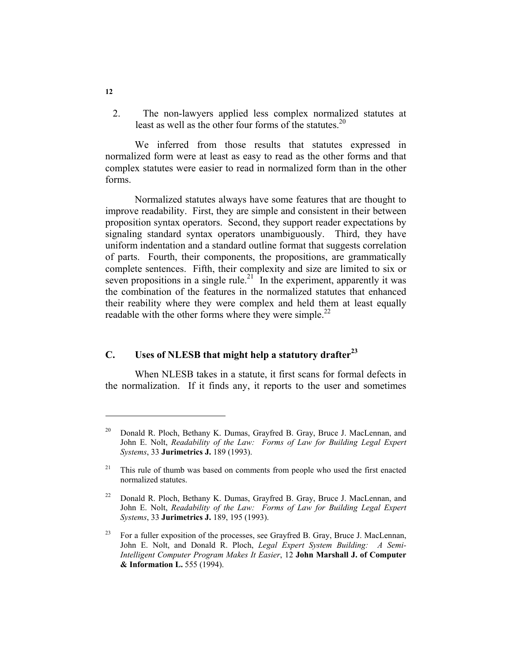2. The non-lawyers applied less complex normalized statutes at least as well as the other four forms of the statutes.<sup>20</sup>

 We inferred from those results that statutes expressed in normalized form were at least as easy to read as the other forms and that complex statutes were easier to read in normalized form than in the other forms.

 Normalized statutes always have some features that are thought to improve readability. First, they are simple and consistent in their between proposition syntax operators. Second, they support reader expectations by signaling standard syntax operators unambiguously. Third, they have uniform indentation and a standard outline format that suggests correlation of parts. Fourth, their components, the propositions, are grammatically complete sentences. Fifth, their complexity and size are limited to six or seven propositions in a single rule.<sup>21</sup> In the experiment, apparently it was the combination of the features in the normalized statutes that enhanced their reability where they were complex and held them at least equally readable with the other forms where they were simple.<sup>22</sup>

# **C. Uses of NLESB that might help a statutory drafter<sup>23</sup>**

 When NLESB takes in a statute, it first scans for formal defects in the normalization. If it finds any, it reports to the user and sometimes

**12** 

<sup>&</sup>lt;sup>20</sup> Donald R. Ploch, Bethany K. Dumas, Grayfred B. Gray, Bruce J. MacLennan, and John E. Nolt, *Readability of the Law: Forms of Law for Building Legal Expert Systems*, 33 **Jurimetrics J.** 189 (1993).

 $21$  This rule of thumb was based on comments from people who used the first enacted normalized statutes.

<sup>&</sup>lt;sup>22</sup> Donald R. Ploch, Bethany K. Dumas, Grayfred B. Gray, Bruce J. MacLennan, and John E. Nolt, *Readability of the Law: Forms of Law for Building Legal Expert Systems*, 33 **Jurimetrics J.** 189, 195 (1993).

<sup>&</sup>lt;sup>23</sup> For a fuller exposition of the processes, see Grayfred B. Gray, Bruce J. MacLennan, John E. Nolt, and Donald R. Ploch, *Legal Expert System Building: A Semi-Intelligent Computer Program Makes It Easier*, 12 **John Marshall J. of Computer & Information L.** 555 (1994).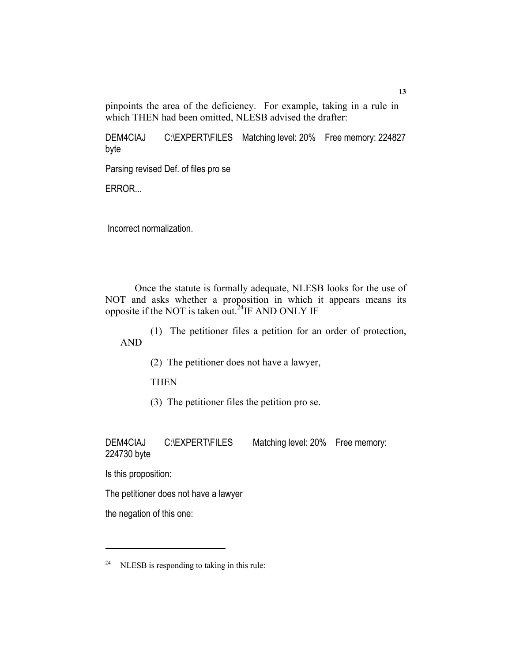pinpoints the area of the deficiency. For example, taking in a rule in which THEN had been omitted, NLESB advised the drafter:

DEM4CIAJ C:\EXPERT\FILES Matching level: 20% Free memory: 224827 byte

Parsing revised Def. of files pro se

ERROR...

Incorrect normalization.

 Once the statute is formally adequate, NLESB looks for the use of NOT and asks whether a proposition in which it appears means its opposite if the NOT is taken out.<sup>24</sup>IF AND ONLY IF

(1) The petitioner files a petition for an order of protection, AND

(2) The petitioner does not have a lawyer,

**THEN** 

(3) The petitioner files the petition pro se.

DEM4CIAJ C:\EXPERT\FILES Matching level: 20% Free memory: 224730 byte

Is this proposition:

The petitioner does not have a lawyer

the negation of this one:

 $24$  NLESB is responding to taking in this rule: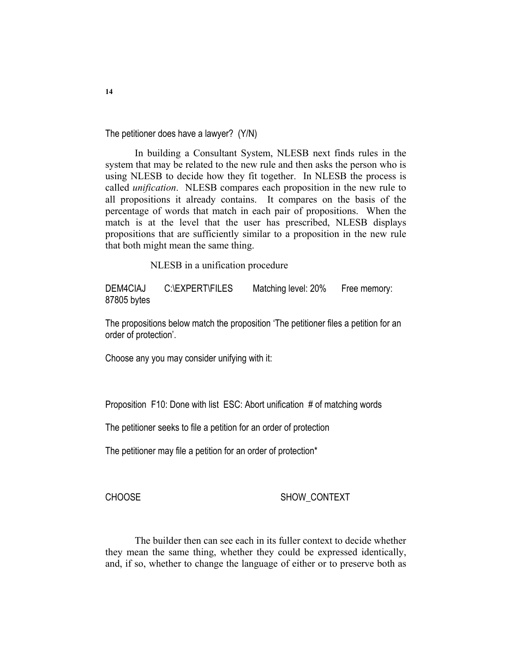The petitioner does have a lawyer? (Y/N)

 In building a Consultant System, NLESB next finds rules in the system that may be related to the new rule and then asks the person who is using NLESB to decide how they fit together. In NLESB the process is called *unification*. NLESB compares each proposition in the new rule to all propositions it already contains. It compares on the basis of the percentage of words that match in each pair of propositions. When the match is at the level that the user has prescribed, NLESB displays propositions that are sufficiently similar to a proposition in the new rule that both might mean the same thing.

NLESB in a unification procedure

DEM4CIAJ C:\EXPERT\FILES Matching level: 20% Free memory: 87805 bytes

The propositions below match the proposition 'The petitioner files a petition for an order of protection'.

Choose any you may consider unifying with it:

Proposition F10: Done with list ESC: Abort unification # of matching words

The petitioner seeks to file a petition for an order of protection

The petitioner may file a petition for an order of protection\*

CHOOSE SHOW CONTEXT

 The builder then can see each in its fuller context to decide whether they mean the same thing, whether they could be expressed identically, and, if so, whether to change the language of either or to preserve both as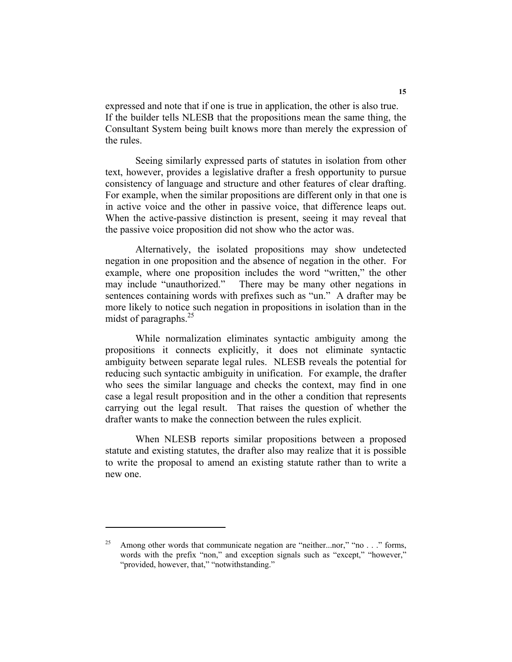expressed and note that if one is true in application, the other is also true. If the builder tells NLESB that the propositions mean the same thing, the Consultant System being built knows more than merely the expression of the rules.

Seeing similarly expressed parts of statutes in isolation from other text, however, provides a legislative drafter a fresh opportunity to pursue consistency of language and structure and other features of clear drafting. For example, when the similar propositions are different only in that one is in active voice and the other in passive voice, that difference leaps out. When the active-passive distinction is present, seeing it may reveal that the passive voice proposition did not show who the actor was.

Alternatively, the isolated propositions may show undetected negation in one proposition and the absence of negation in the other. For example, where one proposition includes the word "written," the other may include "unauthorized." There may be many other negations in sentences containing words with prefixes such as "un." A drafter may be more likely to notice such negation in propositions in isolation than in the midst of paragraphs.<sup>25</sup>

While normalization eliminates syntactic ambiguity among the propositions it connects explicitly, it does not eliminate syntactic ambiguity between separate legal rules. NLESB reveals the potential for reducing such syntactic ambiguity in unification. For example, the drafter who sees the similar language and checks the context, may find in one case a legal result proposition and in the other a condition that represents carrying out the legal result. That raises the question of whether the drafter wants to make the connection between the rules explicit.

When NLESB reports similar propositions between a proposed statute and existing statutes, the drafter also may realize that it is possible to write the proposal to amend an existing statute rather than to write a new one.

Among other words that communicate negation are "neither...nor," "no . . ." forms, words with the prefix "non," and exception signals such as "except," "however," "provided, however, that," "notwithstanding."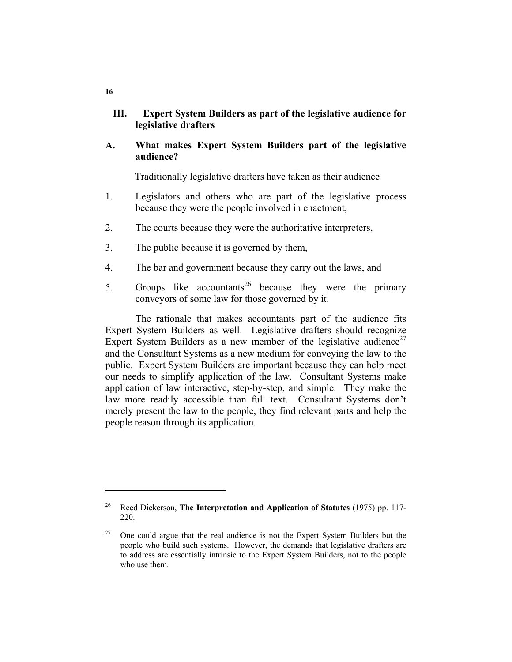# **III. Expert System Builders as part of the legislative audience for legislative drafters**

**A. What makes Expert System Builders part of the legislative audience?** 

Traditionally legislative drafters have taken as their audience

- 1. Legislators and others who are part of the legislative process because they were the people involved in enactment,
- 2. The courts because they were the authoritative interpreters,
- 3. The public because it is governed by them,
- 4. The bar and government because they carry out the laws, and
- 5. Groups like accountants<sup>26</sup> because they were the primary conveyors of some law for those governed by it.

The rationale that makes accountants part of the audience fits Expert System Builders as well. Legislative drafters should recognize Expert System Builders as a new member of the legislative audience<sup>27</sup> and the Consultant Systems as a new medium for conveying the law to the public. Expert System Builders are important because they can help meet our needs to simplify application of the law. Consultant Systems make application of law interactive, step-by-step, and simple. They make the law more readily accessible than full text. Consultant Systems don't merely present the law to the people, they find relevant parts and help the people reason through its application.

**16** 

<sup>26</sup> Reed Dickerson, **The Interpretation and Application of Statutes** (1975) pp. 117- 220.

 $27$  One could argue that the real audience is not the Expert System Builders but the people who build such systems. However, the demands that legislative drafters are to address are essentially intrinsic to the Expert System Builders, not to the people who use them.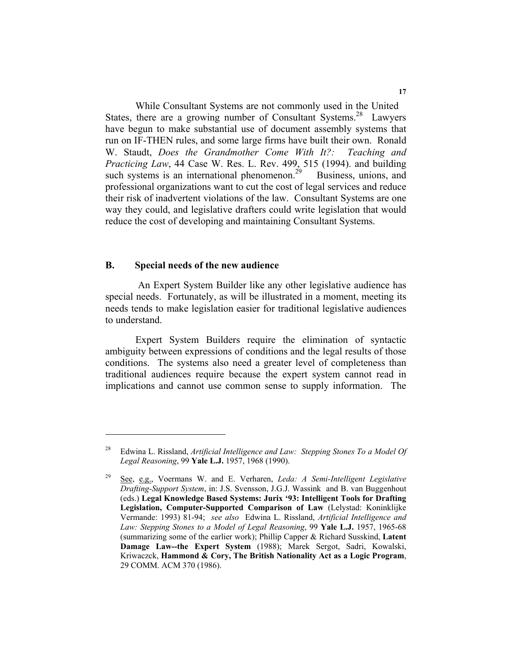While Consultant Systems are not commonly used in the United States, there are a growing number of Consultant Systems.<sup>28</sup> Lawyers have begun to make substantial use of document assembly systems that run on IF-THEN rules, and some large firms have built their own. Ronald W. Staudt, *Does the Grandmother Come With It?: Teaching and Practicing Law*, 44 Case W. Res. L. Rev. 499, 515 (1994). and building such systems is an international phenomenon.<sup>29</sup> Business, unions, and professional organizations want to cut the cost of legal services and reduce their risk of inadvertent violations of the law. Consultant Systems are one way they could, and legislative drafters could write legislation that would reduce the cost of developing and maintaining Consultant Systems.

#### **B. Special needs of the new audience**

 An Expert System Builder like any other legislative audience has special needs. Fortunately, as will be illustrated in a moment, meeting its needs tends to make legislation easier for traditional legislative audiences to understand.

Expert System Builders require the elimination of syntactic ambiguity between expressions of conditions and the legal results of those conditions. The systems also need a greater level of completeness than traditional audiences require because the expert system cannot read in implications and cannot use common sense to supply information. The

<sup>28</sup> Edwina L. Rissland, *Artificial Intelligence and Law: Stepping Stones To a Model Of Legal Reasoning*, 99 **Yale L.J.** 1957, 1968 (1990).

<sup>29</sup> See, e.g., Voermans W. and E. Verharen, *Leda: A Semi-Intelligent Legislative Drafting-Support System*, in: J.S. Svensson, J.G.J. Wassink and B. van Buggenhout (eds.) **Legal Knowledge Based Systems: Jurix '93: Intelligent Tools for Drafting Legislation, Computer-Supported Comparison of Law** (Lelystad: Koninklijke Vermande: 1993) 81-94; *see also* Edwina L. Rissland, *Artificial Intelligence and Law: Stepping Stones to a Model of Legal Reasoning*, 99 **Yale L.J.** 1957, 1965-68 (summarizing some of the earlier work); Phillip Capper & Richard Susskind, **Latent Damage Law--the Expert System** (1988); Marek Sergot, Sadri, Kowalski, Kriwaczck, **Hammond & Cory, The British Nationality Act as a Logic Program**, 29 COMM. ACM 370 (1986).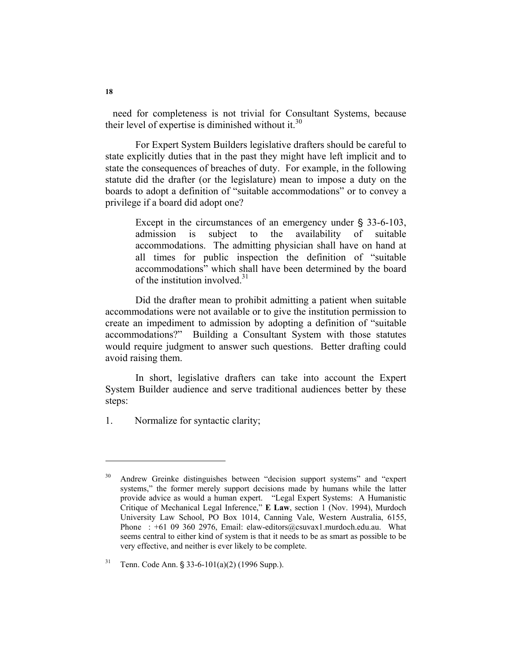need for completeness is not trivial for Consultant Systems, because their level of expertise is diminished without it. $30$ 

For Expert System Builders legislative drafters should be careful to state explicitly duties that in the past they might have left implicit and to state the consequences of breaches of duty. For example, in the following statute did the drafter (or the legislature) mean to impose a duty on the boards to adopt a definition of "suitable accommodations" or to convey a privilege if a board did adopt one?

> Except in the circumstances of an emergency under  $\S$  33-6-103, admission is subject to the availability of suitable accommodations. The admitting physician shall have on hand at all times for public inspection the definition of "suitable accommodations" which shall have been determined by the board of the institution involved.<sup>31</sup>

Did the drafter mean to prohibit admitting a patient when suitable accommodations were not available or to give the institution permission to create an impediment to admission by adopting a definition of "suitable accommodations?" Building a Consultant System with those statutes would require judgment to answer such questions. Better drafting could avoid raising them.

In short, legislative drafters can take into account the Expert System Builder audience and serve traditional audiences better by these steps:

1. Normalize for syntactic clarity;

<sup>30</sup> Andrew Greinke distinguishes between "decision support systems" and "expert systems," the former merely support decisions made by humans while the latter provide advice as would a human expert. "Legal Expert Systems: A Humanistic Critique of Mechanical Legal Inference," **E Law**, section 1 (Nov. 1994), Murdoch University Law School, PO Box 1014, Canning Vale, Western Australia, 6155, Phone : +61 09 360 2976, Email: elaw-editors@csuvax1.murdoch.edu.au. What seems central to either kind of system is that it needs to be as smart as possible to be very effective, and neither is ever likely to be complete.

 $31$  Tenn. Code Ann. § 33-6-101(a)(2) (1996 Supp.).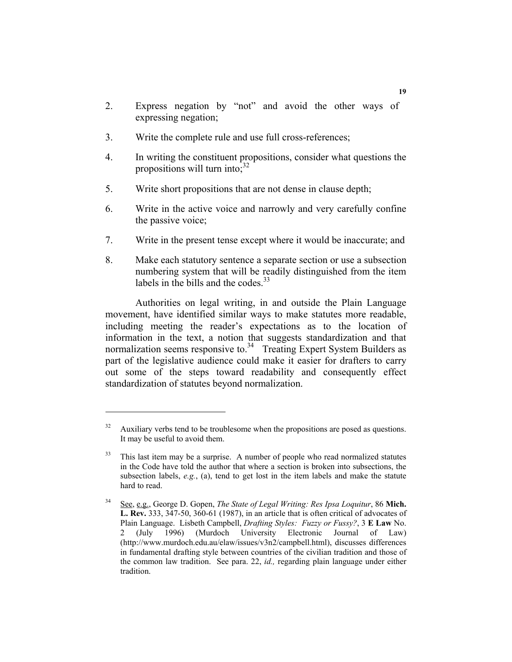- 2. Express negation by "not" and avoid the other ways of expressing negation;
- 3. Write the complete rule and use full cross-references;
- 4. In writing the constituent propositions, consider what questions the propositions will turn into; $32$
- 5. Write short propositions that are not dense in clause depth;
- 6. Write in the active voice and narrowly and very carefully confine the passive voice;
- 7. Write in the present tense except where it would be inaccurate; and
- 8. Make each statutory sentence a separate section or use a subsection numbering system that will be readily distinguished from the item labels in the bills and the codes.<sup>33</sup>

Authorities on legal writing, in and outside the Plain Language movement, have identified similar ways to make statutes more readable, including meeting the reader's expectations as to the location of information in the text, a notion that suggests standardization and that normalization seems responsive to.<sup>34</sup> Treating Expert System Builders as part of the legislative audience could make it easier for drafters to carry out some of the steps toward readability and consequently effect standardization of statutes beyond normalization.

 $32$  Auxiliary verbs tend to be troublesome when the propositions are posed as questions. It may be useful to avoid them.

<sup>&</sup>lt;sup>33</sup> This last item may be a surprise. A number of people who read normalized statutes in the Code have told the author that where a section is broken into subsections, the subsection labels, *e.g.*, (a), tend to get lost in the item labels and make the statute hard to read.

<sup>34</sup> See, e.g., George D. Gopen, *The State of Legal Writing: Res Ipsa Loquitur*, 86 **Mich. L. Rev.** 333, 347-50, 360-61 (1987), in an article that is often critical of advocates of Plain Language. Lisbeth Campbell, *Drafting Styles: Fuzzy or Fussy?*, 3 **E Law** No. 2 (July 1996) (Murdoch University Electronic Journal of Law) (http://www.murdoch.edu.au/elaw/issues/v3n2/campbell.html), discusses differences in fundamental drafting style between countries of the civilian tradition and those of the common law tradition. See para. 22, *id.,* regarding plain language under either tradition.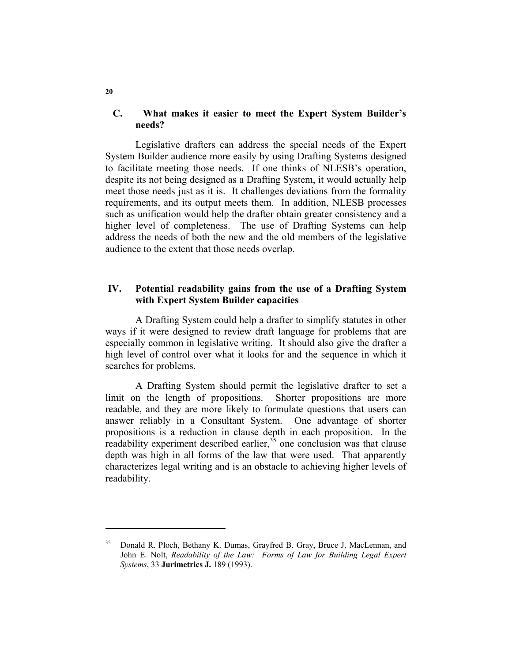## **C. What makes it easier to meet the Expert System Builder's needs?**

Legislative drafters can address the special needs of the Expert System Builder audience more easily by using Drafting Systems designed to facilitate meeting those needs. If one thinks of NLESB's operation, despite its not being designed as a Drafting System, it would actually help meet those needs just as it is. It challenges deviations from the formality requirements, and its output meets them. In addition, NLESB processes such as unification would help the drafter obtain greater consistency and a higher level of completeness. The use of Drafting Systems can help address the needs of both the new and the old members of the legislative audience to the extent that those needs overlap.

## **IV. Potential readability gains from the use of a Drafting System with Expert System Builder capacities**

A Drafting System could help a drafter to simplify statutes in other ways if it were designed to review draft language for problems that are especially common in legislative writing. It should also give the drafter a high level of control over what it looks for and the sequence in which it searches for problems.

A Drafting System should permit the legislative drafter to set a limit on the length of propositions. Shorter propositions are more readable, and they are more likely to formulate questions that users can answer reliably in a Consultant System. One advantage of shorter propositions is a reduction in clause depth in each proposition. In the readability experiment described earlier,  $35$  one conclusion was that clause depth was high in all forms of the law that were used. That apparently characterizes legal writing and is an obstacle to achieving higher levels of readability.

**20** 

Donald R. Ploch, Bethany K. Dumas, Grayfred B. Gray, Bruce J. MacLennan, and John E. Nolt, *Readability of the Law: Forms of Law for Building Legal Expert Systems*, 33 **Jurimetrics J.** 189 (1993).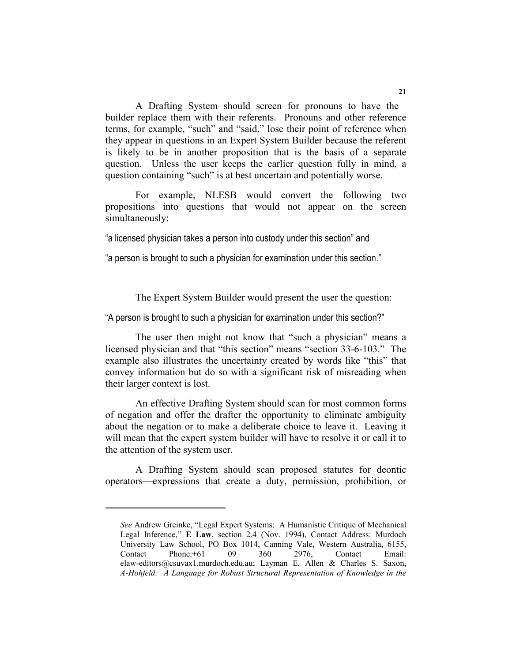A Drafting System should screen for pronouns to have the builder replace them with their referents. Pronouns and other reference terms, for example, "such" and "said," lose their point of reference when they appear in questions in an Expert System Builder because the referent is likely to be in another proposition that is the basis of a separate question. Unless the user keeps the earlier question fully in mind, a question containing "such" is at best uncertain and potentially worse.

For example, NLESB would convert the following two propositions into questions that would not appear on the screen simultaneously:

"a licensed physician takes a person into custody under this section" and

"a person is brought to such a physician for examination under this section."

The Expert System Builder would present the user the question:

"A person is brought to such a physician for examination under this section?"

The user then might not know that "such a physician" means a licensed physician and that "this section" means "section 33-6-103." The example also illustrates the uncertainty created by words like "this" that convey information but do so with a significant risk of misreading when their larger context is lost.

An effective Drafting System should scan for most common forms of negation and offer the drafter the opportunity to eliminate ambiguity about the negation or to make a deliberate choice to leave it. Leaving it will mean that the expert system builder will have to resolve it or call it to the attention of the system user.

A Drafting System should scan proposed statutes for deontic operators—expressions that create a duty, permission, prohibition, or

*See* Andrew Greinke, "Legal Expert Systems: A Humanistic Critique of Mechanical Legal Inference," **E Law**, section 2.4 (Nov. 1994), Contact Address: Murdoch University Law School, PO Box 1014, Canning Vale, Western Australia, 6155, Contact Phone:+61 09 360 2976, Contact Email: elaw-editors@csuvax1.murdoch.edu.au; Layman E. Allen & Charles S. Saxon, *A-Hohfeld: A Language for Robust Structural Representation of Knowledge in the*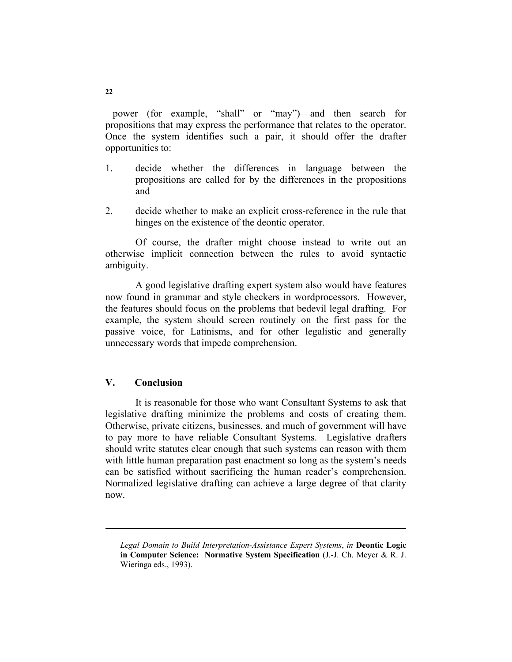power (for example, "shall" or "may")—and then search for propositions that may express the performance that relates to the operator. Once the system identifies such a pair, it should offer the drafter opportunities to:

- 1. decide whether the differences in language between the propositions are called for by the differences in the propositions and
- 2. decide whether to make an explicit cross-reference in the rule that hinges on the existence of the deontic operator.

Of course, the drafter might choose instead to write out an otherwise implicit connection between the rules to avoid syntactic ambiguity.

A good legislative drafting expert system also would have features now found in grammar and style checkers in wordprocessors. However, the features should focus on the problems that bedevil legal drafting. For example, the system should screen routinely on the first pass for the passive voice, for Latinisms, and for other legalistic and generally unnecessary words that impede comprehension.

# **V. Conclusion**

It is reasonable for those who want Consultant Systems to ask that legislative drafting minimize the problems and costs of creating them. Otherwise, private citizens, businesses, and much of government will have to pay more to have reliable Consultant Systems. Legislative drafters should write statutes clear enough that such systems can reason with them with little human preparation past enactment so long as the system's needs can be satisfied without sacrificing the human reader's comprehension. Normalized legislative drafting can achieve a large degree of that clarity now.

*Legal Domain to Build Interpretation-Assistance Expert Systems*, *in* **Deontic Logic in Computer Science: Normative System Specification** (J.-J. Ch. Meyer & R. J. Wieringa eds., 1993).